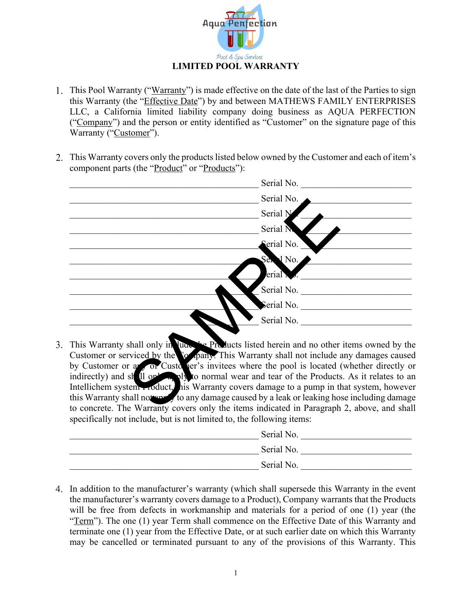

- This Pool Warranty ("Warranty") is made effective on the date of the last of the Parties to sign this Warranty (the "*Effective Date*") by and between MATHEWS FAMILY ENTERPRISES LLC, a California limited liability company doing business as AQUA PERFECTION ("Company") and the person or entity identified as "Customer" on the signature page of this Warranty ("Customer").
- 2. This Warranty covers only the products listed below owned by the Customer and each of item's component parts (the "Product" or "Products"):

| Serial No.                                                                                                                                                                                                                                                                                                                                                                                                                                                                                        |  |
|---------------------------------------------------------------------------------------------------------------------------------------------------------------------------------------------------------------------------------------------------------------------------------------------------------------------------------------------------------------------------------------------------------------------------------------------------------------------------------------------------|--|
| Serial No.                                                                                                                                                                                                                                                                                                                                                                                                                                                                                        |  |
| Serial N                                                                                                                                                                                                                                                                                                                                                                                                                                                                                          |  |
| Serial N                                                                                                                                                                                                                                                                                                                                                                                                                                                                                          |  |
| Serial No.                                                                                                                                                                                                                                                                                                                                                                                                                                                                                        |  |
| Ser 1 No.                                                                                                                                                                                                                                                                                                                                                                                                                                                                                         |  |
| erial                                                                                                                                                                                                                                                                                                                                                                                                                                                                                             |  |
| Serial No.                                                                                                                                                                                                                                                                                                                                                                                                                                                                                        |  |
| Serial No.                                                                                                                                                                                                                                                                                                                                                                                                                                                                                        |  |
| Serial No.                                                                                                                                                                                                                                                                                                                                                                                                                                                                                        |  |
| This Warranty shall only in June 1/2 Products listed herein and no other items owned by the<br>Customer or serviced by the <i>so pany</i> . This Warranty shall not include any damages caused<br>by Customer or a or Customer's invitees where the pool is located (whether directly or<br>indirectly) and shall only all objects a ply to normal wear and tear of the Products. As it relates to an<br>Intellichem system Froduct, his Warranty covers damage to a pump in that system, however |  |
| this Warranty shall not the <i>f</i> to any damage caused by a leak or leaking hose including damage<br>to concrete. The Warranty covers only the items indicated in Paragraph 2, above, and shall                                                                                                                                                                                                                                                                                                |  |

3. This Warranty shall only in lude the Products listed herein and no other items owned by the Customer or serviced by the Company. This Warranty shall not include any damages caused by Customer or any or Customer's invitees where the pool is located (whether directly or indirectly) and shall only apply to normal wear and tear of the Products. As it relates to an Intellichem system Product, his Warranty covers damage to a pump in that system, however this Warranty shall not apply to any damage caused by a leak or leaking hose including damage to concrete. The Warranty covers only the items indicated in Paragraph 2, above, and shall specifically not include, but is not limited to, the following items:

| Serial No. |
|------------|
| Serial No. |
| Serial No. |

In addition to the manufacturer's warranty (which shall supersede this Warranty in the event the manufacturer's warranty covers damage to a Product), Company warrants that the Products will be free from defects in workmanship and materials for a period of one (1) year (the "Term"). The one (1) year Term shall commence on the Effective Date of this Warranty and terminate one (1) year from the Effective Date, or at such earlier date on which this Warranty may be cancelled or terminated pursuant to any of the provisions of this Warranty. This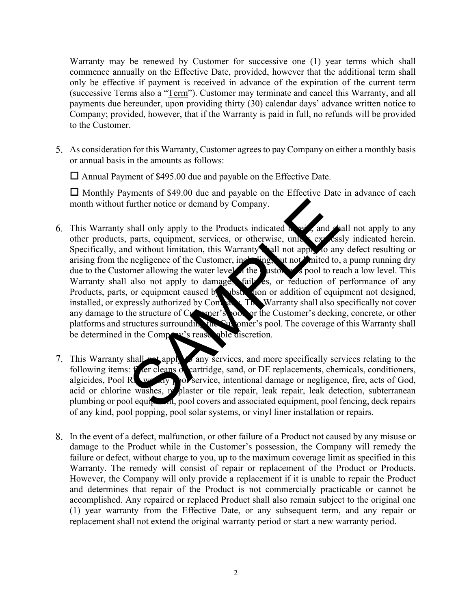Warranty may be renewed by Customer for successive one (1) year terms which shall commence annually on the Effective Date, provided, however that the additional term shall only be effective if payment is received in advance of the expiration of the current term (successive Terms also a "Term"). Customer may terminate and cancel this Warranty, and all payments due hereunder, upon providing thirty (30) calendar days' advance written notice to Company; provided, however, that if the Warranty is paid in full, no refunds will be provided to the Customer.

As consideration for this Warranty, Customer agrees to pay Company on either a monthly basis or annual basis in the amounts as follows:

 $\Box$  Annual Payment of \$495.00 due and payable on the Effective Date.

 $\Box$  Monthly Payments of \$49.00 due and payable on the Effective Date in advance of each month without further notice or demand by Company.

- 6. This Warranty shall only apply to the Products indicated  $h = \frac{1}{2}$  and shall not apply to any other products, parts, equipment, services, or otherwise, unless expressly indicated herein. Specifically, and without limitation, this Warranty shall not apply to any defect resulting or arising from the negligence of the Customer, including, but not limited to, a pump running dry due to the Customer allowing the water level in the customer's pool to reach a low level. This Warranty shall also not apply to damages failures, or reduction of performance of any Products, parts, or equipment caused by substitution or addition of equipment not designed, installed, or expressly authorized by Company. The Warranty shall also specifically not cover any damage to the structure of Customer's look or the Customer's decking, concrete, or other platforms and structures surrounding the Customer's pool. The coverage of this Warranty shall be determined in the Company's reasonable discretion. further notice or demand by Company.<br>
Shall only apply to the Products indicated a parts, equipment, services, or otherwise, unk<br>
parts, equipment, services, or otherwise, unk<br>
regligence of the Customer, including the val
- 7. This Warranty shall not apply any services, and more specifically services relating to the following items: f<sup>1</sup> ler cleans of cartridge, sand, or DE replacements, chemicals, conditioners, algicides, Pool Rx, we kiy pool service, intentional damage or negligence, fire, acts of God, acid or chlorine washes, replaster or tile repair, leak repair, leak detection, subterranean plumbing or pool equipment, pool covers and associated equipment, pool fencing, deck repairs of any kind, pool popping, pool solar systems, or vinyl liner installation or repairs.
- In the event of a defect, malfunction, or other failure of a Product not caused by any misuse or damage to the Product while in the Customer's possession, the Company will remedy the failure or defect, without charge to you, up to the maximum coverage limit as specified in this Warranty. The remedy will consist of repair or replacement of the Product or Products. However, the Company will only provide a replacement if it is unable to repair the Product and determines that repair of the Product is not commercially practicable or cannot be accomplished. Any repaired or replaced Product shall also remain subject to the original one (1) year warranty from the Effective Date, or any subsequent term, and any repair or replacement shall not extend the original warranty period or start a new warranty period.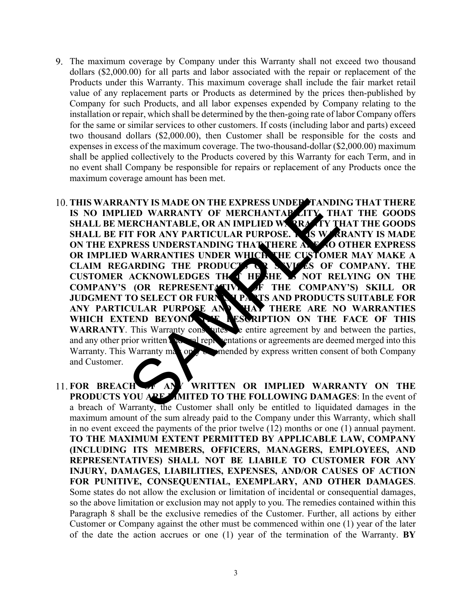- The maximum coverage by Company under this Warranty shall not exceed two thousand dollars (\$2,000.00) for all parts and labor associated with the repair or replacement of the Products under this Warranty. This maximum coverage shall include the fair market retail value of any replacement parts or Products as determined by the prices then-published by Company for such Products, and all labor expenses expended by Company relating to the installation or repair, which shall be determined by the then-going rate of labor Company offers for the same or similar services to other customers. If costs (including labor and parts) exceed two thousand dollars (\$2,000.00), then Customer shall be responsible for the costs and expenses in excess of the maximum coverage. The two-thousand-dollar (\$2,000.00) maximum shall be applied collectively to the Products covered by this Warranty for each Term, and in no event shall Company be responsible for repairs or replacement of any Products once the maximum coverage amount has been met.
- 10. THIS WARRANTY IS MADE ON THE EXPRESS UNDER TANDING THAT THERE **IS NO IMPLIED WARRANTY OF MERCHANTABILITY, THAT THE GOODS SHALL BE MERCHANTABLE, OR AN IMPLIED WARRANTY THAT THE GOODS SHALL BE FIT FOR ANY PARTICULAR PURPOSE. A 4S WARRANTY IS MADE SHALL BE FIT FOR ANY PARTICULAR PURPOSE. ON THE EXPRESS UNDERSTANDING THAT THERE ARE NO OTHER EXPRESS OR IMPLIED WARRANTIES UNDER WHICH THE CUSTOMER MAY MAKE A OR IMPLIED WARRANTIES UNDER WHICH CLAIM REGARDING THE PRODUCTS OR SEVICES OF COMPANY. THE CUSTOMER ACKNOWLEDGES THAT HE/SHE IS NOT RELYING ON THE**  COMPANY'S (OR REPRESENTATIVE OF THE COMPANY'S) SKILL OR **JUDGMENT TO SELECT OR FURNISH PARTS AND PRODUCTS SUITABLE FOR**  ANY PARTICULAR PURPOSE AND **THAT THERE ARE NO WARRANTIES** WHICH EXTEND BEYOND THE RESCRIPTION ON THE FACE OF THIS **WARRANTY**. This Warranty constructed the entire agreement by and between the parties, and any other prior written a non-end-representations or agreements are deemed merged into this Warranty. This Warranty may only be amended by express written consent of both Company and Customer. NOT THE EXPRESS UNDER TANDITED WARRANTY OF MERCHANTABLE OR AN IMPLIED WARRANTIC TO THE TOR ANY PARTICULAR PURPOSE. AS WARRESS UNDERSTANDING THAT THE CUSTOME<br>
AREAS UNDERSTANDING THAT THE CUSTOME<br>
AREAS UNDERSTANDING THAT T
- **FOR BREACH OF ANY WRITTEN OR IMPLIED WARRANTY ON THE PRODUCTS YOU ARE LIMITED TO THE FOLLOWING DAMAGES:** In the event of a breach of Warranty, the Customer shall only be entitled to liquidated damages in the maximum amount of the sum already paid to the Company under this Warranty, which shall in no event exceed the payments of the prior twelve (12) months or one (1) annual payment. **TO THE MAXIMUM EXTENT PERMITTED BY APPLICABLE LAW, COMPANY (INCLUDING ITS MEMBERS, OFFICERS, MANAGERS, EMPLOYEES, AND REPRESENTATIVES) SHALL NOT BE LIABILE TO CUSTOMER FOR ANY INJURY, DAMAGES, LIABILITIES, EXPENSES, AND/OR CAUSES OF ACTION FOR PUNITIVE, CONSEQUENTIAL, EXEMPLARY, AND OTHER DAMAGES**. Some states do not allow the exclusion or limitation of incidental or consequential damages, so the above limitation or exclusion may not apply to you. The remedies contained within this Paragraph 8 shall be the exclusive remedies of the Customer. Further, all actions by either Customer or Company against the other must be commenced within one (1) year of the later of the date the action accrues or one (1) year of the termination of the Warranty. **BY**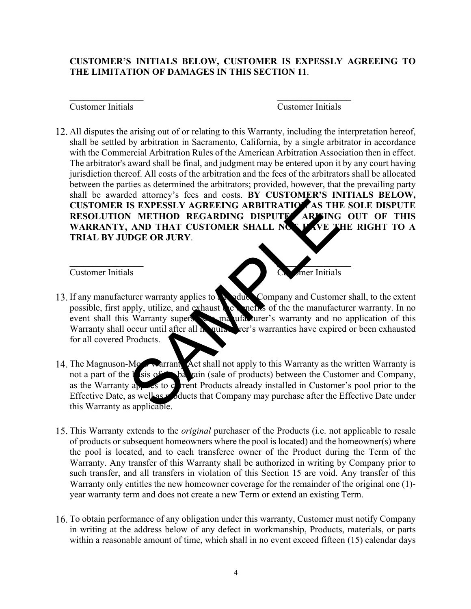## **CUSTOMER'S INITIALS BELOW, CUSTOMER IS EXPESSLY AGREEING TO THE LIMITATION OF DAMAGES IN THIS SECTION 11**.

**\_\_\_\_\_\_\_\_\_\_\_\_\_\_\_\_ \_\_\_\_\_\_\_\_\_\_\_\_\_\_\_\_**

**\_\_\_\_\_\_\_\_\_\_\_\_\_\_\_\_ \_\_\_\_\_\_\_\_\_\_\_\_\_\_\_\_**

### Customer Initials Customer Initials

All disputes the arising out of or relating to this Warranty, including the interpretation hereof, shall be settled by arbitration in Sacramento, California, by a single arbitrator in accordance with the Commercial Arbitration Rules of the American Arbitration Association then in effect. The arbitrator's award shall be final, and judgment may be entered upon it by any court having jurisdiction thereof. All costs of the arbitration and the fees of the arbitrators shall be allocated between the parties as determined the arbitrators; provided, however, that the prevailing party shall be awarded attorney's fees and costs. **BY CUSTOMER'S INITIALS BELOW, CUSTOMER IS EXPESSLY AGREEING ARBITRATION AS THE SOLE DISPUTE** RESOLUTION METHOD REGARDING DISPUTE ARISING OUT OF THIS WARRANTY, AND THAT CUSTOMER SHALL NOT HAVE THE RIGHT TO A **TRIAL BY JUDGE OR JURY**.

### Customer Initials Customer Initials

- 13. If any manufacturer warranty applies to a **Noduck** Company and Customer shall, to the extent possible, first apply, utilize, and exhaust  $\mathbf{e}$  benefits of the the manufacturer warranty. In no event shall this Warranty supersede a manufacturer's warranty and no application of this Warranty shall occur until after all manufacturer's warranties have expired or been exhausted for all covered Products. SAMPLE TO A SAMPLE TO A REFORM AND THAT CUSTOMER SHALL NO THAT CUSTOMER SHALL NO THAT CUSTOMER SHALL NO THAT CUSTOMER SHALL NO THAT CUSTOMER SHALL NO THAT TO USTOMER SHALL NO THAT THE DGE OR JURY.<br>
THE DGE OR JURY.<br>
THE DG
- 14. The Magnuson-Moss warrant Act shall not apply to this Warranty as the written Warranty is not a part of the basis of the bargain (sale of products) between the Customer and Company, as the Warranty applies to current Products already installed in Customer's pool prior to the Effective Date, as well as products that Company may purchase after the Effective Date under this Warranty as applicable.
- This Warranty extends to the *original* purchaser of the Products (i.e. not applicable to resale of products or subsequent homeowners where the pool is located) and the homeowner(s) where the pool is located, and to each transferee owner of the Product during the Term of the Warranty. Any transfer of this Warranty shall be authorized in writing by Company prior to such transfer, and all transfers in violation of this Section 15 are void. Any transfer of this Warranty only entitles the new homeowner coverage for the remainder of the original one (1) year warranty term and does not create a new Term or extend an existing Term.
- To obtain performance of any obligation under this warranty, Customer must notify Company in writing at the address below of any defect in workmanship, Products, materials, or parts within a reasonable amount of time, which shall in no event exceed fifteen (15) calendar days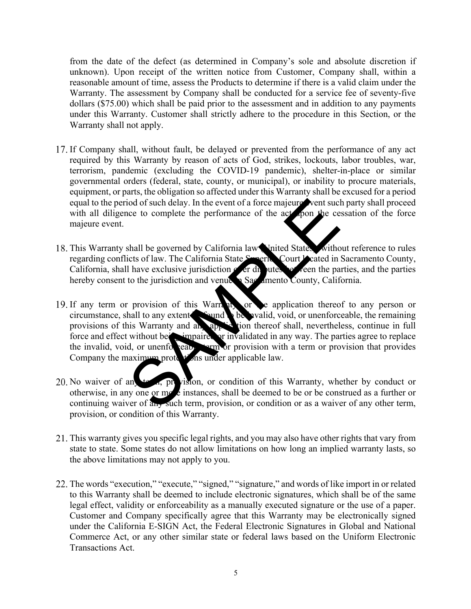from the date of the defect (as determined in Company's sole and absolute discretion if unknown). Upon receipt of the written notice from Customer, Company shall, within a reasonable amount of time, assess the Products to determine if there is a valid claim under the Warranty. The assessment by Company shall be conducted for a service fee of seventy-five dollars (\$75.00) which shall be paid prior to the assessment and in addition to any payments under this Warranty. Customer shall strictly adhere to the procedure in this Section, or the Warranty shall not apply.

- If Company shall, without fault, be delayed or prevented from the performance of any act required by this Warranty by reason of acts of God, strikes, lockouts, labor troubles, war, terrorism, pandemic (excluding the COVID-19 pandemic), shelter-in-place or similar governmental orders (federal, state, county, or municipal), or inability to procure materials, equipment, or parts, the obligation so affected under this Warranty shall be excused for a period equal to the period of such delay. In the event of a force majeure vent such party shall proceed with all diligence to complete the performance of the act upon the cessation of the force majeure event.
- 18. This Warranty shall be governed by California law United States, without reference to rules regarding conflicts of law. The California State Superior Court Leated in Sacramento County, California, shall have exclusive jurisdiction  $\epsilon$  or disputes between the parties, and the parties hereby consent to the jurisdiction and venue in Sacramento County, California.
- 19. If any term or provision of this Warranty or the application thereof to any person or circumstance, shall to any extent be wall to be walid, void, or unenforceable, the remaining provisions of this Warranty and any application thereof shall, nevertheless, continue in full force and effect without being impaired or invalidated in any way. The parties agree to replace the invalid, void, or unenforceable term or provision with a term or provision that provides Company the maximum protections under applicable law. ion of such delay. In the event of a force majeure vent such<br>ce to complete the performance of the actor of the ce<br>to complete the performance of the actor of the ce<br>shall be governed by California law Varied States. With<br>
- 20. No waiver of any term, provision, or condition of this Warranty, whether by conduct or otherwise, in any one or more instances, shall be deemed to be or be construed as a further or continuing waiver of any such term, provision, or condition or as a waiver of any other term, provision, or condition of this Warranty.
- This warranty gives you specific legal rights, and you may also have other rights that vary from state to state. Some states do not allow limitations on how long an implied warranty lasts, so the above limitations may not apply to you.
- 22. The words "execution," "execute," "signed," "signature," and words of like import in or related to this Warranty shall be deemed to include electronic signatures, which shall be of the same legal effect, validity or enforceability as a manually executed signature or the use of a paper. Customer and Company specifically agree that this Warranty may be electronically signed under the California E-SIGN Act, the Federal Electronic Signatures in Global and National Commerce Act, or any other similar state or federal laws based on the Uniform Electronic Transactions Act.